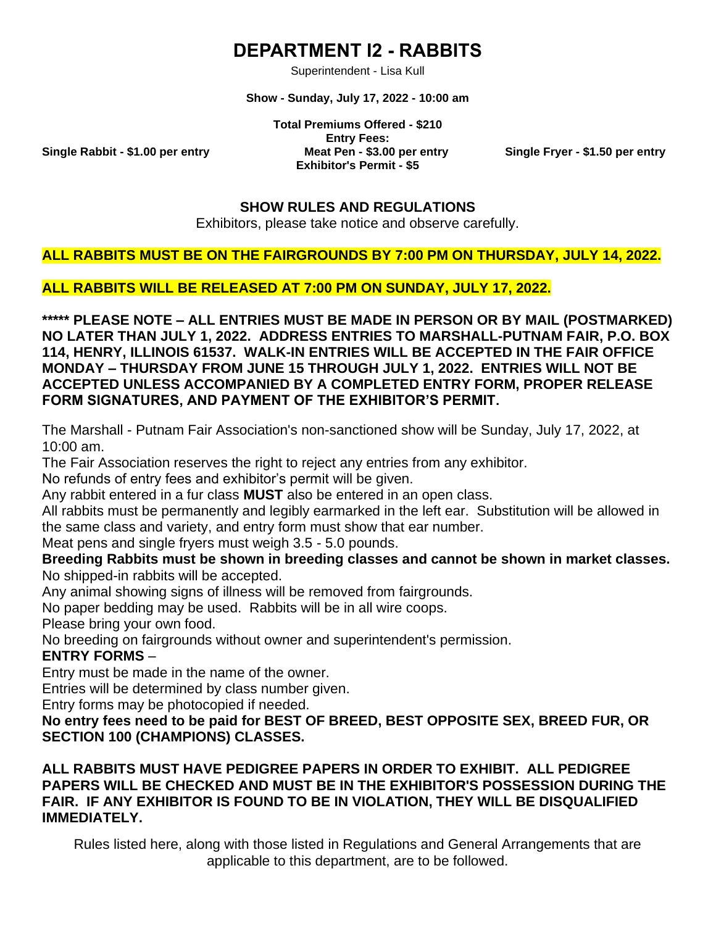# **DEPARTMENT I2 - RABBITS**

Superintendent - Lisa Kull

**Show - Sunday, July 17, 2022 - 10:00 am**

**Total Premiums Offered - \$210 Entry Fees: Single Rabbit - \$1.00 per entry Meat Pen - \$3.00 per entry Single Fryer - \$1.50 per entry Exhibitor's Permit - \$5**

#### **SHOW RULES AND REGULATIONS**

Exhibitors, please take notice and observe carefully.

#### **ALL RABBITS MUST BE ON THE FAIRGROUNDS BY 7:00 PM ON THURSDAY, JULY 14, 2022.**

**ALL RABBITS WILL BE RELEASED AT 7:00 PM ON SUNDAY, JULY 17, 2022.**

**\*\*\*\*\* PLEASE NOTE – ALL ENTRIES MUST BE MADE IN PERSON OR BY MAIL (POSTMARKED) NO LATER THAN JULY 1, 2022. ADDRESS ENTRIES TO MARSHALL-PUTNAM FAIR, P.O. BOX 114, HENRY, ILLINOIS 61537. WALK-IN ENTRIES WILL BE ACCEPTED IN THE FAIR OFFICE MONDAY – THURSDAY FROM JUNE 15 THROUGH JULY 1, 2022. ENTRIES WILL NOT BE ACCEPTED UNLESS ACCOMPANIED BY A COMPLETED ENTRY FORM, PROPER RELEASE FORM SIGNATURES, AND PAYMENT OF THE EXHIBITOR'S PERMIT.**

The Marshall - Putnam Fair Association's non-sanctioned show will be Sunday, July 17, 2022, at 10:00 am.

The Fair Association reserves the right to reject any entries from any exhibitor.

No refunds of entry fees and exhibitor's permit will be given.

Any rabbit entered in a fur class **MUST** also be entered in an open class.

All rabbits must be permanently and legibly earmarked in the left ear. Substitution will be allowed in the same class and variety, and entry form must show that ear number.

Meat pens and single fryers must weigh 3.5 - 5.0 pounds.

#### **Breeding Rabbits must be shown in breeding classes and cannot be shown in market classes.**

No shipped-in rabbits will be accepted.

Any animal showing signs of illness will be removed from fairgrounds.

No paper bedding may be used. Rabbits will be in all wire coops.

Please bring your own food.

No breeding on fairgrounds without owner and superintendent's permission.

## **ENTRY FORMS** –

Entry must be made in the name of the owner.

Entries will be determined by class number given.

Entry forms may be photocopied if needed.

**No entry fees need to be paid for BEST OF BREED, BEST OPPOSITE SEX, BREED FUR, OR SECTION 100 (CHAMPIONS) CLASSES.**

### **ALL RABBITS MUST HAVE PEDIGREE PAPERS IN ORDER TO EXHIBIT. ALL PEDIGREE PAPERS WILL BE CHECKED AND MUST BE IN THE EXHIBITOR'S POSSESSION DURING THE FAIR. IF ANY EXHIBITOR IS FOUND TO BE IN VIOLATION, THEY WILL BE DISQUALIFIED IMMEDIATELY.**

Rules listed here, along with those listed in Regulations and General Arrangements that are applicable to this department, are to be followed.